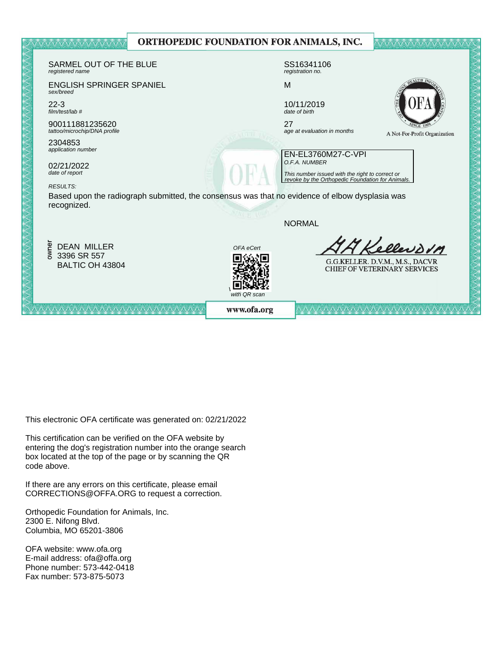|  |                                                                                                                                                                                                                                       |  |              | ORTHOPEDIC FOUNDATION FOR ANIMALS, INC.                                                             |                                                                        |  |
|--|---------------------------------------------------------------------------------------------------------------------------------------------------------------------------------------------------------------------------------------|--|--------------|-----------------------------------------------------------------------------------------------------|------------------------------------------------------------------------|--|
|  | SARMEL OUT OF THE BLUE<br>registered name                                                                                                                                                                                             |  |              | SS16341106<br>registration no.                                                                      |                                                                        |  |
|  | <b>ENGLISH SPRINGER SPANIEL</b><br>sex/breed                                                                                                                                                                                          |  |              | M                                                                                                   |                                                                        |  |
|  | $22 - 3$<br>film/test/lab #                                                                                                                                                                                                           |  |              | 10/11/2019<br>date of birth                                                                         |                                                                        |  |
|  | 900111881235620<br>tattoo/microchip/DNA profile<br>2304853<br>application number<br>02/21/2022<br>date of report<br><b>RESULTS:</b><br>Based upon the radiograph submitted, the consensus was that no evidence of elbow dysplasia was |  |              | 27<br>age at evaluation in months                                                                   | A Not-For-Profit Organization                                          |  |
|  |                                                                                                                                                                                                                                       |  |              | EN-EL3760M27-C-VPI                                                                                  |                                                                        |  |
|  |                                                                                                                                                                                                                                       |  |              | O.F.A. NUMBER                                                                                       |                                                                        |  |
|  |                                                                                                                                                                                                                                       |  |              | This number issued with the right to correct or<br>revoke by the Orthopedic Foundation for Animals. |                                                                        |  |
|  | recognized.                                                                                                                                                                                                                           |  |              |                                                                                                     |                                                                        |  |
|  |                                                                                                                                                                                                                                       |  |              | <b>NORMAL</b>                                                                                       |                                                                        |  |
|  | owner<br><b>DEAN MILLER</b>                                                                                                                                                                                                           |  | OFA eCert    |                                                                                                     | Kellendon                                                              |  |
|  | 3396 SR 557<br>BALTIC OH 43804                                                                                                                                                                                                        |  |              |                                                                                                     | G.G.KELLER. D.V.M., M.S., DACVR<br><b>CHIEF OF VETERINARY SERVICES</b> |  |
|  |                                                                                                                                                                                                                                       |  | with QR scan |                                                                                                     |                                                                        |  |
|  | 人人人人人人人人人人人人人人人人人人人人人人                                                                                                                                                                                                                |  | www.ofa.org  |                                                                                                     |                                                                        |  |
|  |                                                                                                                                                                                                                                       |  |              |                                                                                                     |                                                                        |  |

This electronic OFA certificate was generated on: 02/21/2022

This certification can be verified on the OFA website by box located at the top of the page or by scanning the QR code above. entering the dog's registration number into the orange search

If there are any errors on this certificate, please email  $CORRECTIONS@OFFA.ORG$  to request a correction.

Phone number: 573-442-0418 Orthopedic Foundation for Animals, Inc. 2300 E. Nifong Blvd. Columbia, MO 65201-3806

OFA website: www.ofa.org E-mail address: ofa@offa.org Phone number: 573-442-0418 Fax number: 573-875-5073